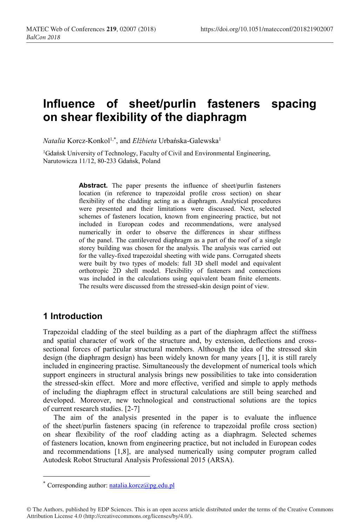# **Influence of sheet/purlin fasteners spacing on shear flexibility of the diaphragm**

*Natalia* Korcz-Konkol<sup>1,\*</sup>, and *Elżbieta* Urbańska-Galewska<sup>1</sup>

<sup>1</sup>Gdańsk University of Technology, Faculty of Civil and Environmental Engineering, Narutowicza 11/12, 80-233 Gdańsk, Poland

> Abstract. The paper presents the influence of sheet/purlin fasteners location (in reference to trapezoidal profile cross section) on shear flexibility of the cladding acting as a diaphragm. Analytical procedures were presented and their limitations were discussed. Next, selected schemes of fasteners location, known from engineering practice, but not included in European codes and recommendations, were analysed numerically in order to observe the differences in shear stiffness of the panel. The cantilevered diaphragm as a part of the roof of a single storey building was chosen for the analysis. The analysis was carried out for the valley-fixed trapezoidal sheeting with wide pans. Corrugated sheets were built by two types of models: full 3D shell model and equivalent orthotropic 2D shell model. Flexibility of fasteners and connections was included in the calculations using equivalent beam finite elements. The results were discussed from the stressed-skin design point of view.

# **1 Introduction**

Trapezoidal cladding of the steel building as a part of the diaphragm affect the stiffness and spatial character of work of the structure and, by extension, deflections and crosssectional forces of particular structural members. Although the idea of the stressed skin design (the diaphragm design) has been widely known for many years [1], it is still rarely included in engineering practise. Simultaneously the development of numerical tools which support engineers in structural analysis brings new possibilities to take into consideration the stressed-skin effect. More and more effective, verified and simple to apply methods of including the diaphragm effect in structural calculations are still being searched and developed. Moreover, new technological and constructional solutions are the topics of current research studies. [2-7]

The aim of the analysis presented in the paper is to evaluate the influence of the sheet/purlin fasteners spacing (in reference to trapezoidal profile cross section) on shear flexibility of the roof cladding acting as a diaphragm. Selected schemes of fasteners location, known from engineering practice, but not included in European codes and recommendations [1,8], are analysed numerically using computer program called Autodesk Robot Structural Analysis Professional 2015 (ARSA).

<sup>\*</sup> Corresponding author:  $natalia.korcz(\omega pq,edu,pl)$ 

<sup>©</sup> The Authors, published by EDP Sciences. This is an open access article distributed under the terms of the Creative Commons Attribution License 4.0 (http://creativecommons.org/licenses/by/4.0/).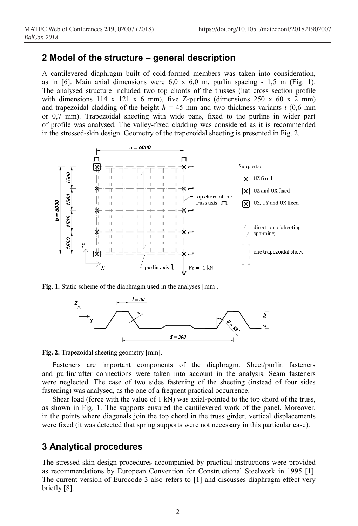### **2 Model of the structure – general description**

A cantilevered diaphragm built of cold-formed members was taken into consideration, as in  $[6]$ . Main axial dimensions were  $6.0 \times 6.0$  m, purlin spacing - 1,5 m (Fig. 1). The analysed structure included two top chords of the trusses (hat cross section profile with dimensions 114 x 121 x 6 mm), five Z-purlins (dimensions 250 x 60 x 2 mm) and trapezoidal cladding of the height  $h = 45$  mm and two thickness variants  $t$  (0,6 mm or 0,7 mm). Trapezoidal sheeting with wide pans, fixed to the purlins in wider part of profile was analysed. The valley-fixed cladding was considered as it is recommended in the stressed-skin design. Geometry of the trapezoidal sheeting is presented in Fig. 2.



**Fig. 1.** Static scheme of the diaphragm used in the analyses [mm].



**Fig. 2.** Trapezoidal sheeting geometry [mm].

Fasteners are important components of the diaphragm. Sheet/purlin fasteners and purlin/rafter connections were taken into account in the analysis. Seam fasteners were neglected. The case of two sides fastening of the sheeting (instead of four sides fastening) was analysed, as the one of a frequent practical occurrence.

Shear load (force with the value of 1 kN) was axial-pointed to the top chord of the truss, as shown in Fig. 1. The supports ensured the cantilevered work of the panel. Moreover, in the points where diagonals join the top chord in the truss girder, vertical displacements were fixed (it was detected that spring supports were not necessary in this particular case).

# **3 Analytical procedures**

The stressed skin design procedures accompanied by practical instructions were provided as recommendations by European Convention for Constructional Steelwork in 1995 [1]. The current version of Eurocode 3 also refers to [1] and discusses diaphragm effect very briefly [8].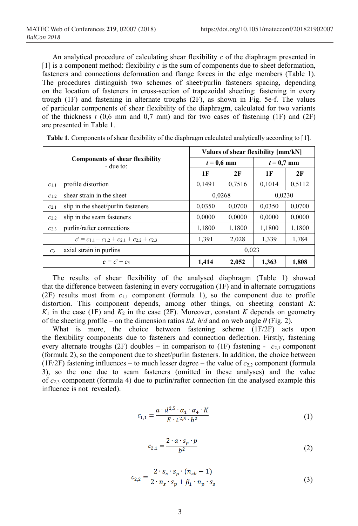An analytical procedure of calculating shear flexibility *c* of the diaphragm presented in [1] is a component method: flexibility  $c$  is the sum of components due to sheet deformation, fasteners and connections deformation and flange forces in the edge members (Table 1). The procedures distinguish two schemes of sheet/purlin fasteners spacing, depending on the location of fasteners in cross-section of trapezoidal sheeting: fastening in every trough (1F) and fastening in alternate troughs (2F), as shown in Fig. 5e-f. The values of particular components of shear flexibility of the diaphragm, calculated for two variants of the thickness  $t$  (0,6 mm and 0,7 mm) and for two cases of fastening (1F) and (2F) are presented in Table 1.

| <b>Components of shear flexibility</b><br>$-$ due to: |                                    | Values of shear flexibility [mm/kN] |        |              |        |  |
|-------------------------------------------------------|------------------------------------|-------------------------------------|--------|--------------|--------|--|
|                                                       |                                    | $t = 0.6$ mm                        |        | $t = 0.7$ mm |        |  |
|                                                       |                                    | 1F                                  | 2F     | 1 F          | 2F     |  |
| C1.1                                                  | profile distortion                 | 0,1491                              | 0.7516 | 0,1014       | 0,5112 |  |
| C1.2                                                  | shear strain in the sheet          |                                     | 0,0268 |              | 0,0230 |  |
| C <sub>2.1</sub>                                      | slip in the sheet/purlin fasteners | 0,0350                              | 0,0700 | 0,0350       | 0,0700 |  |
| $C_{2,2}$                                             | slip in the seam fasteners         | 0,0000                              | 0,0000 | 0,0000       | 0,0000 |  |
| C <sub>2.3</sub>                                      | purlin/rafter connections          | 1,1800                              | 1,1800 | 1,1800       | 1,1800 |  |
| $c' = c_{11} + c_{12} + c_{21} + c_{22} + c_{23}$     |                                    | 1,391                               | 2,028  | 1,339        | 1,784  |  |
| $C_3$                                                 | axial strain in purlins            | 0.023                               |        |              |        |  |
|                                                       | $c = c' + c_3$                     | 1,414                               | 2,052  | 1,363        | 1,808  |  |

| Table 1. Components of shear flexibility of the diaphragm calculated analytically according to [1]. |  |  |  |
|-----------------------------------------------------------------------------------------------------|--|--|--|
|                                                                                                     |  |  |  |

The results of shear flexibility of the analysed diaphragm (Table 1) showed that the difference between fastening in every corrugation (1F) and in alternate corrugations  $(2F)$  results most from  $c_{1,1}$  component (formula 1), so the component due to profile distortion. This component depends, among other things, on sheeting constant *K*:  $K_1$  in the case (1F) and  $K_2$  in the case (2F). Moreover, constant *K* depends on geometry of the sheeting profile – on the dimension ratios  $\ell/d$ ,  $\hbar/d$  and on web angle  $\theta$  (Fig. 2).

What is more, the choice between fastening scheme (1F/2F) acts upon the flexibility components due to fasteners and connection deflection. Firstly, fastening every alternate troughs (2F) doubles – in comparison to (1F) fastening -  $c_{2,1}$  component (formula 2), so the component due to sheet/purlin fasteners. In addition, the choice between (1F/2F) fastening influences – to much lesser degree – the value of  $c_{2,2}$  component (formula 3), so the one due to seam fasteners (omitted in these analyses) and the value of *c*2,3 component (formula 4) due to purlin/rafter connection (in the analysed example this influence is not revealed).

$$
c_{1,1} = \frac{a \cdot d^{2,5} \cdot \alpha_1 \cdot \alpha_4 \cdot K}{E \cdot t^{2,5} \cdot b^2} \tag{1}
$$

$$
c_{2,1} = \frac{2 \cdot a \cdot s_p \cdot p}{b^2} \tag{2}
$$

$$
c_{2,2} = \frac{2 \cdot s_s \cdot s_p \cdot (n_{sh} - 1)}{2 \cdot n_s \cdot s_p + \beta_1 \cdot n_p \cdot s_s}
$$
\n
$$
(3)
$$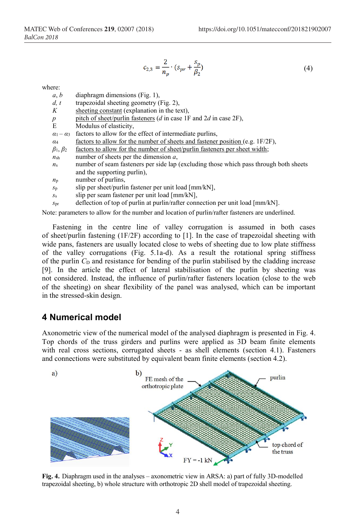$$
c_{2,3} = \frac{2}{n_p} \cdot (s_{pr} + \frac{s_p}{\beta_2})
$$
 (4)

where:

| a, b |  | diaphragm dimensions (Fig. 1), |  |  |
|------|--|--------------------------------|--|--|
|------|--|--------------------------------|--|--|

- *d, t* trapezoidal sheeting geometry (Fig. 2),
- *K* sheeting constant (explanation in the text),
- *p* pitch of sheet/purlin fasteners (*d* in case 1F and 2*d* in case 2F),<br>  $E$  Modulus of elasticity
- Modulus of elasticity,
- $a_1 a_3$  factors to allow for the effect of intermediate purlins,
- *α*<sup>4</sup> factors to allow for the number of sheets and fastener position (e.g. 1F/2F),
- $\beta_1, \beta_2$  factors to allow for the number of sheet/purlin fasteners per sheet width;
- *n*sh number of sheets per the dimension *a*,
- $n<sub>s</sub>$  number of seam fasteners per side lap (excluding those which pass through both sheets and the supporting purlin),
- *n*<sup>p</sup> number of purlins,
- $s_p$  slip per sheet/purlin fastener per unit load  $\text{[mm/kN]}$ ,
- *s*<sup>s</sup> slip per seam fastener per unit load [mm/kN],
- *s*pr deflection of top of purlin at purlin/rafter connection per unit load [mm/kN].

Note: parameters to allow for the number and location of purlin/rafter fasteners are underlined.

Fastening in the centre line of valley corrugation is assumed in both cases of sheet/purlin fastening  $(1F/2F)$  according to [1]. In the case of trapezoidal sheeting with wide pans, fasteners are usually located close to webs of sheeting due to low plate stiffness of the valley corrugations (Fig. 5.1a-d). As a result the rotational spring stiffness of the purlin C<sub>D</sub> and resistance for bending of the purlin stabilised by the cladding increase [9]. In the article the effect of lateral stabilisation of the purlin by sheeting was not considered. Instead, the influence of purlin/rafter fasteners location (close to the web of the sheeting) on shear flexibility of the panel was analysed, which can be important in the stressed-skin design.

## **4 Numerical model**

Axonometric view of the numerical model of the analysed diaphragm is presented in Fig. 4. Top chords of the truss girders and purlins were applied as 3D beam finite elements with real cross sections, corrugated sheets - as shell elements (section 4.1). Fasteners and connections were substituted by equivalent beam finite elements (section 4.2).



**Fig. 4.** Diaphragm used in the analyses – axonometric view in ARSA: a) part of fully 3D-modelled trapezoidal sheeting, b) whole structure with orthotropic 2D shell model of trapezoidal sheeting.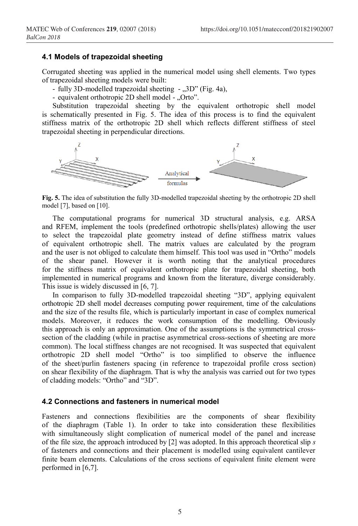#### **4.1 Models of trapezoidal sheeting**

Corrugated sheeting was applied in the numerical model using shell elements. Two types of trapezoidal sheeting models were built:

- fully 3D-modelled trapezoidal sheeting "3D" (Fig. 4a),
- equivalent orthotropic 2D shell model "Orto".

Substitution trapezoidal sheeting by the equivalent orthotropic shell model is schematically presented in Fig. 5. The idea of this process is to find the equivalent stiffness matrix of the orthotropic 2D shell which reflects different stiffness of steel trapezoidal sheeting in perpendicular directions.



**Fig. 5.** The idea of substitution the fully 3D-modelled trapezoidal sheeting by the orthotropic 2D shell model [7], based on [10].

The computational programs for numerical 3D structural analysis, e.g. ARSA and RFEM, implement the tools (predefined orthotropic shells/plates) allowing the user to select the trapezoidal plate geometry instead of define stiffness matrix values of equivalent orthotropic shell. The matrix values are calculated by the program and the user is not obliged to calculate them himself. This tool was used in "Ortho" models of the shear panel. However it is worth noting that the analytical procedures for the stiffness matrix of equivalent orthotropic plate for trapezoidal sheeting, both implemented in numerical programs and known from the literature, diverge considerably. This issue is widely discussed in [6, 7].

In comparison to fully 3D-modelled trapezoidal sheeting "3D", applying equivalent orthotropic 2D shell model decreases computing power requirement, time of the calculations and the size of the results file, which is particularly important in case of complex numerical models. Moreover, it reduces the work consumption of the modelling. Obviously this approach is only an approximation. One of the assumptions is the symmetrical crosssection of the cladding (while in practise asymmetrical cross-sections of sheeting are more common). The local stiffness changes are not recognised. It was suspected that equivalent orthotropic 2D shell model "Ortho" is too simplified to observe the influence of the sheet/purlin fasteners spacing (in reference to trapezoidal profile cross section) on shear flexibility of the diaphragm. That is why the analysis was carried out for two types of cladding models: "Ortho" and "3D".

#### **4.2 Connections and fasteners in numerical model**

Fasteners and connections flexibilities are the components of shear flexibility of the diaphragm (Table 1). In order to take into consideration these flexibilities with simultaneously slight complication of numerical model of the panel and increase of the file size, the approach introduced by [2] was adopted. In this approach theoretical slip *s* of fasteners and connections and their placement is modelled using equivalent cantilever finite beam elements. Calculations of the cross sections of equivalent finite element were performed in [6,7].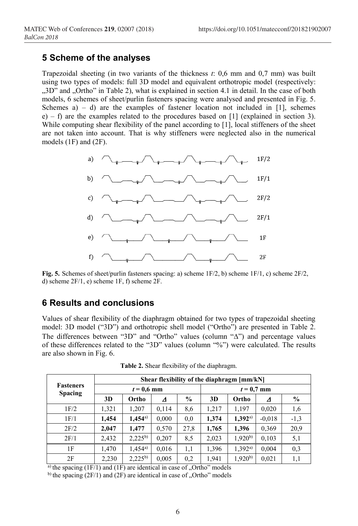## **5 Scheme of the analyses**

Trapezoidal sheeting (in two variants of the thickness *t*: 0,6 mm and 0,7 mm) was built using two types of models: full 3D model and equivalent orthotropic model (respectively: "3D" and "Ortho" in Table 2), what is explained in section 4.1 in detail. In the case of both models, 6 schemes of sheet/purlin fasteners spacing were analysed and presented in Fig. 5. Schemes a) – d) are the examples of fastener location not included in [1], schemes e) – f) are the examples related to the procedures based on [1] (explained in section 3). While computing shear flexibility of the panel according to [1], local stiffeners of the sheet are not taken into account. That is why stiffeners were neglected also in the numerical models (1F) and (2F).



**Fig. 5.** Schemes of sheet/purlin fasteners spacing: a) scheme 1F/2, b) scheme 1F/1, c) scheme 2F/2, d) scheme 2F/1, e) scheme 1F, f) scheme 2F.

# **6 Results and conclusions**

Values of shear flexibility of the diaphragm obtained for two types of trapezoidal sheeting model: 3D model ("3D") and orthotropic shell model ("Ortho") are presented in Table 2. The differences between "3D" and "Ortho" values (column " $\Delta$ ") and percentage values of these differences related to the "3D" values (column "%") were calculated. The results are also shown in Fig. 6.

|                                    | Shear flexibility of the diaphragm [mm/kN] |              |       |               |       |             |          |               |
|------------------------------------|--------------------------------------------|--------------|-------|---------------|-------|-------------|----------|---------------|
| <b>Fasteners</b><br><b>Spacing</b> | $t = 0.6$ mm                               |              |       | $t = 0.7$ mm  |       |             |          |               |
|                                    | 3D                                         | Ortho        | Δ     | $\frac{0}{0}$ | 3D    | Ortho       | Δ        | $\frac{6}{9}$ |
| 1F/2                               | 1,321                                      | 1,207        | 0,114 | 8,6           | 1,217 | 1.197       | 0,020    | 1,6           |
| 1F/1                               | 1,454                                      | $1,454^{a})$ | 0,000 | 0,0           | 1,374 | 1,392a)     | $-0.018$ | $-1,3$        |
| 2F/2                               | 2,047                                      | 1,477        | 0,570 | 27,8          | 1,765 | 1,396       | 0.369    | 20,9          |
| 2F/1                               | 2,432                                      | $2,225^{b}$  | 0,207 | 8,5           | 2,023 | $1,920^{b}$ | 0.103    | 5,1           |
| 1F                                 | 1,470                                      | $1.454^{a}$  | 0,016 | 1,1           | 1,396 | 1,392a)     | 0,004    | 0,3           |
| 2F                                 | 2,230                                      | $2,225^{b}$  | 0,005 | 0,2           | 1,941 | $1,920^{b}$ | 0.021    | 1,1           |

**Table 2.** Shear flexibility of the diaphragm.

<sup>a)</sup> the spacing  $(1F/1)$  and  $(1F)$  are identical in case of "Ortho" models

b) the spacing  $(2F/1)$  and  $(2F)$  are identical in case of "Ortho" models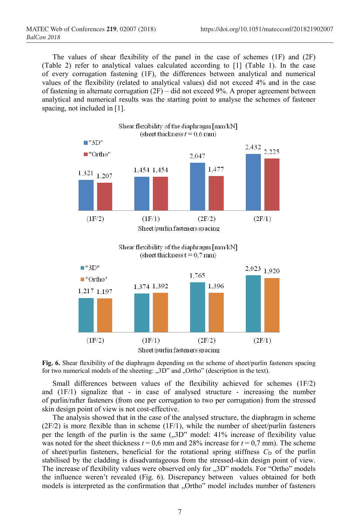The values of shear flexibility of the panel in the case of schemes (1F) and (2F) (Table 2) refer to analytical values calculated according to [1] (Table 1). In the case of every corrugation fastening (1F), the differences between analytical and numerical values of the flexibility (related to analytical values) did not exceed 4% and in the case of fastening in alternate corrugation (2F) – did not exceed 9%. A proper agreement between analytical and numerical results was the starting point to analyse the schemes of fastener spacing, not included in [1].



Sheet/purlin fasteners spacing



Small differences between values of the flexibility achieved for schemes (1F/2) and (1F/1) signalize that - in case of analysed structure - increasing the number of purlin/rafter fasteners (from one per corrugation to two per corrugation) from the stressed skin design point of view is not cost-effective.

The analysis showed that in the case of the analysed structure, the diaphragm in scheme  $(2F/2)$  is more flexible than in scheme  $(1F/1)$ , while the number of sheet/purlin fasteners per the length of the purlin is the same  $(0.3D^{\prime\prime})$  model: 41% increase of flexibility value was noted for the sheet thickness  $t = 0.6$  mm and 28% increase for  $t = 0.7$  mm). The scheme of sheet/purlin fasteners, beneficial for the rotational spring stiffness  $C_D$  of the purlin stabilised by the cladding is disadvantageous from the stressed-skin design point of view. The increase of flexibility values were observed only for  $,3D'$  models. For "Ortho" models the influence weren't revealed (Fig. 6). Discrepancy between values obtained for both models is interpreted as the confirmation that "Ortho" model includes number of fasteners